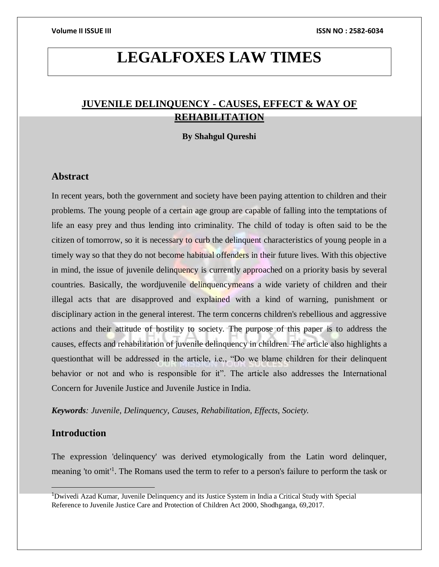# **LEGALFOXES LAW TIMES**

# **JUVENILE DELINQUENCY - CAUSES, EFFECT & WAY OF REHABILITATION**

## **By Shahgul Qureshi**

## **Abstract**

In recent years, both the government and society have been paying attention to children and their problems. The young people of a certain age group are capable of falling into the temptations of life an easy prey and thus lending into criminality. The child of today is often said to be the citizen of tomorrow, so it is necessary to curb the delinquent characteristics of young people in a timely way so that they do not become habitual offenders in their future lives. With this objective in mind, the issue of juvenile delinquency is currently approached on a priority basis by several countries. Basically, the wordjuvenile delinquencymeans a wide variety of children and their illegal acts that are disapproved and explained with a kind of warning, punishment or disciplinary action in the general interest. The term concerns children's rebellious and aggressive actions and their attitude of hostility to society. The purpose of this paper is to address the causes, effects and rehabilitation of juvenile delinquency in children. The article also highlights a questionthat will be addressed in the article, i.e., "Do we blame children for their delinquent behavior or not and who is responsible for it". The article also addresses the International Concern for Juvenile Justice and Juvenile Justice in India.

*Keywords: Juvenile, Delinquency, Causes, Rehabilitation, Effects, Society.*

## **Introduction**

The expression 'delinquency' was derived etymologically from the Latin word delinquer, meaning 'to omit<sup>1</sup>. The Romans used the term to refer to a person's failure to perform the task or

<sup>&</sup>lt;sup>1</sup>Dwivedi Azad Kumar, Juvenile Delinquency and its Justice System in India a Critical Study with Special Reference to Juvenile Justice Care and Protection of Children Act 2000, Shodhganga, 69,2017.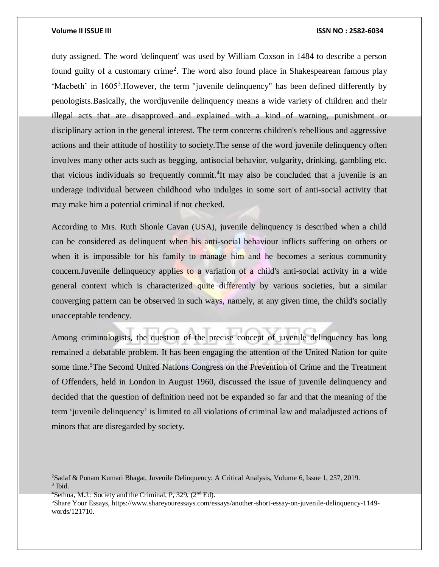duty assigned. The word 'delinquent' was used by William Coxson in 1484 to describe a person found guilty of a customary crime<sup>2</sup>. The word also found place in Shakespearean famous play 'Macbeth' in 1605<sup>3</sup>. However, the term "juvenile delinquency" has been defined differently by penologists.Basically, the wordjuvenile delinquency means a wide variety of children and their illegal acts that are disapproved and explained with a kind of warning, punishment or disciplinary action in the general interest. The term concerns children's rebellious and aggressive actions and their attitude of hostility to society.The sense of the word juvenile delinquency often involves many other acts such as begging, antisocial behavior, vulgarity, drinking, gambling etc. that vicious individuals so frequently commit.<sup>4</sup>It may also be concluded that a juvenile is an underage individual between childhood who indulges in some sort of anti-social activity that may make him a potential criminal if not checked.

According to Mrs. Ruth Shonle Cavan (USA), juvenile delinquency is described when a child can be considered as delinquent when his anti-social behaviour inflicts suffering on others or when it is impossible for his family to manage him and he becomes a serious community concern.Juvenile delinquency applies to a variation of a child's anti-social activity in a wide general context which is characterized quite differently by various societies, but a similar converging pattern can be observed in such ways, namely, at any given time, the child's socially unacceptable tendency.

Among criminologists, the question of the precise concept of juvenile delinquency has long remained a debatable problem. It has been engaging the attention of the United Nation for quite some time.<sup>5</sup>The Second United Nations Congress on the Prevention of Crime and the Treatment of Offenders, held in London in August 1960, discussed the issue of juvenile delinquency and decided that the question of definition need not be expanded so far and that the meaning of the term 'juvenile delinquency' is limited to all violations of criminal law and maladjusted actions of minors that are disregarded by society.

 $\overline{a}$ 

<sup>2</sup>Sadaf & Punam Kumari Bhagat, Juvenile Delinquency: A Critical Analysis, Volume 6, Issue 1, 257, 2019. 3 Ibid.

<sup>&</sup>lt;sup>4</sup>Sethna, M.J.: Society and the Criminal, P, 329, (2<sup>nd</sup> Ed).

<sup>5</sup>Share Your Essays, https://www.shareyouressays.com/essays/another-short-essay-on-juvenile-delinquency-1149 words/121710.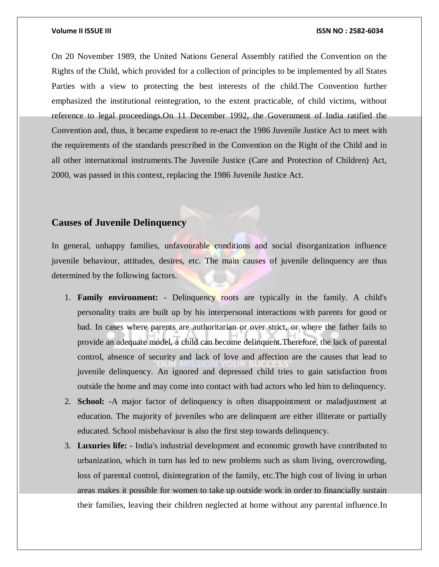On 20 November 1989, the United Nations General Assembly ratified the Convention on the Rights of the Child, which provided for a collection of principles to be implemented by all States Parties with a view to protecting the best interests of the child.The Convention further emphasized the institutional reintegration, to the extent practicable, of child victims, without reference to legal proceedings.On 11 December 1992, the Government of India ratified the Convention and, thus, it became expedient to re-enact the 1986 Juvenile Justice Act to meet with the requirements of the standards prescribed in the Convention on the Right of the Child and in all other international instruments.The Juvenile Justice (Care and Protection of Children) Act, 2000, was passed in this context, replacing the 1986 Juvenile Justice Act.

# **Causes of Juvenile Delinquency**

In general, unhappy families, unfavourable conditions and social disorganization influence juvenile behaviour, attitudes, desires, etc. The main causes of juvenile delinquency are thus determined by the following factors.

- 1. **Family environment:** Delinquency roots are typically in the family. A child's personality traits are built up by his interpersonal interactions with parents for good or bad. In cases where parents are authoritarian or over strict, or where the father fails to provide an adequate model, a child can become delinquent.Therefore, the lack of parental control, absence of security and lack of love and affection are the causes that lead to juvenile delinquency. An ignored and depressed child tries to gain satisfaction from outside the home and may come into contact with bad actors who led him to delinquency.
- 2. **School:** -A major factor of delinquency is often disappointment or maladjustment at education. The majority of juveniles who are delinquent are either illiterate or partially educated. School misbehaviour is also the first step towards delinquency.
- 3. **Luxuries life: -** India's industrial development and economic growth have contributed to urbanization, which in turn has led to new problems such as slum living, overcrowding, loss of parental control, disintegration of the family, etc.The high cost of living in urban areas makes it possible for women to take up outside work in order to financially sustain their families, leaving their children neglected at home without any parental influence.In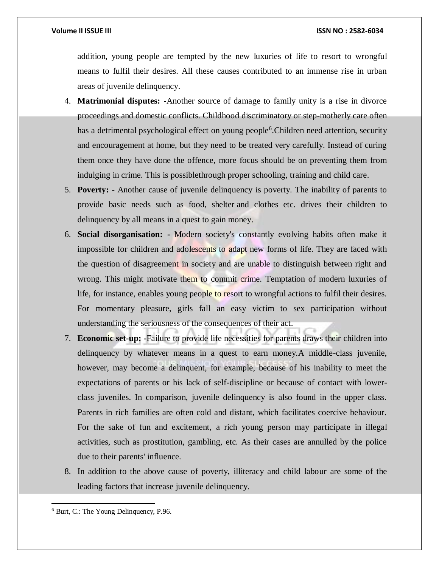addition, young people are tempted by the new luxuries of life to resort to wrongful means to fulfil their desires. All these causes contributed to an immense rise in urban areas of juvenile delinquency.

- 4. **Matrimonial disputes:** -Another source of damage to family unity is a rise in divorce proceedings and domestic conflicts. Childhood discriminatory or step-motherly care often has a detrimental psychological effect on young people<sup>6</sup>. Children need attention, security and encouragement at home, but they need to be treated very carefully. Instead of curing them once they have done the offence, more focus should be on preventing them from indulging in crime. This is possiblethrough proper schooling, training and child care.
- 5. **Poverty: -** Another cause of juvenile delinquency is poverty. The inability of parents to provide basic needs such as food, shelter and clothes etc. drives their children to delinquency by all means in a quest to gain money.
- 6. **Social disorganisation: -** Modern society's constantly evolving habits often make it impossible for children and adolescents to adapt new forms of life. They are faced with the question of disagreement in society and are unable to distinguish between right and wrong. This might motivate them to commit crime. Temptation of modern luxuries of life, for instance, enables young people to resort to wrongful actions to fulfil their desires. For momentary pleasure, girls fall an easy victim to sex participation without understanding the seriousness of the consequences of their act.
- 7. **Economic set-up: -**Failure to provide life necessities for parents draws their children into delinquency by whatever means in a quest to earn money.A middle-class juvenile, however, may become a delinquent, for example, because of his inability to meet the expectations of parents or his lack of self-discipline or because of contact with lowerclass juveniles. In comparison, juvenile delinquency is also found in the upper class. Parents in rich families are often cold and distant, which facilitates coercive behaviour. For the sake of fun and excitement, a rich young person may participate in illegal activities, such as prostitution, gambling, etc. As their cases are annulled by the police due to their parents' influence.
- 8. In addition to the above cause of poverty, illiteracy and child labour are some of the leading factors that increase juvenile delinquency.

 $\overline{a}$ <sup>6</sup> Burt, C.: The Young Delinquency, P.96.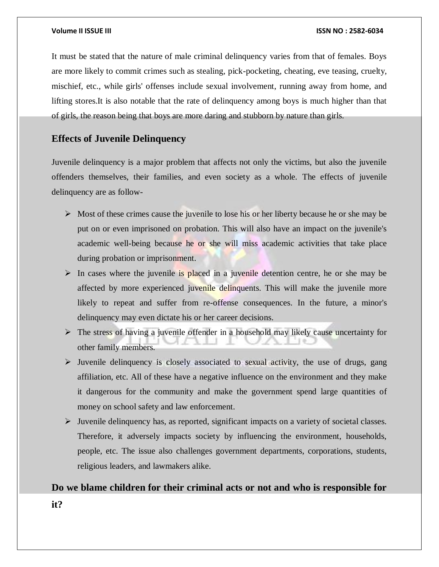It must be stated that the nature of male criminal delinquency varies from that of females. Boys are more likely to commit crimes such as stealing, pick-pocketing, cheating, eve teasing, cruelty, mischief, etc., while girls' offenses include sexual involvement, running away from home, and lifting stores.It is also notable that the rate of delinquency among boys is much higher than that of girls, the reason being that boys are more daring and stubborn by nature than girls.

# **Effects of Juvenile Delinquency**

Juvenile delinquency is a major problem that affects not only the victims, but also the juvenile offenders themselves, their families, and even society as a whole. The effects of juvenile delinquency are as follow-

- $\triangleright$  Most of these crimes cause the juvenile to lose his or her liberty because he or she may be put on or even imprisoned on probation. This will also have an impact on the juvenile's academic well-being because he or she will miss academic activities that take place during probation or imprisonment.
- $\triangleright$  In cases where the juvenile is placed in a juvenile detention centre, he or she may be affected by more experienced juvenile delinquents. This will make the juvenile more likely to repeat and suffer from re-offense consequences. In the future, a minor's delinquency may even dictate his or her career decisions.
- $\triangleright$  The stress of having a juvenile offender in a household may likely cause uncertainty for other family members.
- $\triangleright$  Juvenile delinquency is closely associated to sexual activity, the use of drugs, gang affiliation, etc. All of these have a negative influence on the environment and they make it dangerous for the community and make the government spend large quantities of money on school safety and law enforcement.
- $\triangleright$  Juvenile delinquency has, as reported, significant impacts on a variety of societal classes. Therefore, it adversely impacts society by influencing the environment, households, people, etc. The issue also challenges government departments, corporations, students, religious leaders, and lawmakers alike.

# **Do we blame children for their criminal acts or not and who is responsible for**

**it?**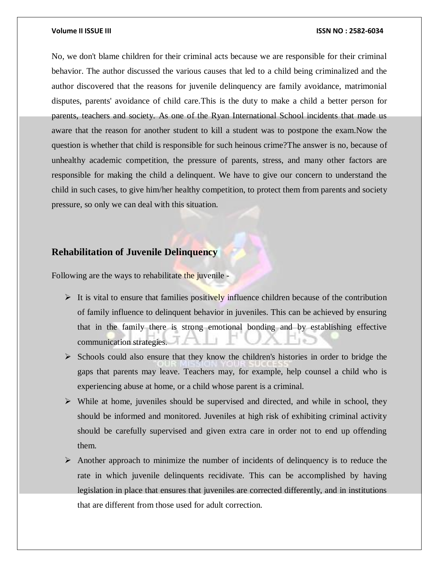No, we don't blame children for their criminal acts because we are responsible for their criminal behavior. The author discussed the various causes that led to a child being criminalized and the author discovered that the reasons for juvenile delinquency are family avoidance, matrimonial disputes, parents' avoidance of child care.This is the duty to make a child a better person for parents, teachers and society. As one of the Ryan International School incidents that made us aware that the reason for another student to kill a student was to postpone the exam.Now the question is whether that child is responsible for such heinous crime?The answer is no, because of unhealthy academic competition, the pressure of parents, stress, and many other factors are responsible for making the child a delinquent. We have to give our concern to understand the child in such cases, to give him/her healthy competition, to protect them from parents and society pressure, so only we can deal with this situation.

# **Rehabilitation of Juvenile Delinquency**

Following are the ways to rehabilitate the juvenile -

- It is vital to ensure that families positively influence children because of the contribution of family influence to delinquent behavior in juveniles. This can be achieved by ensuring that in the family there is strong emotional bonding and by establishing effective communication strategies.
- $\triangleright$  Schools could also ensure that they know the children's histories in order to bridge the gaps that parents may leave. Teachers may, for example, help counsel a child who is experiencing abuse at home, or a child whose parent is a criminal.
- $\triangleright$  While at home, juveniles should be supervised and directed, and while in school, they should be informed and monitored. Juveniles at high risk of exhibiting criminal activity should be carefully supervised and given extra care in order not to end up offending them.
- $\triangleright$  Another approach to minimize the number of incidents of delinquency is to reduce the rate in which juvenile delinquents recidivate. This can be accomplished by having legislation in place that ensures that juveniles are corrected differently, and in institutions that are different from those used for adult correction.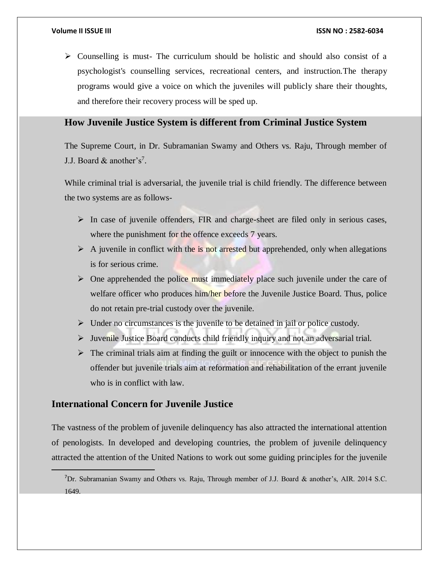$\triangleright$  Counselling is must- The curriculum should be holistic and should also consist of a psychologist's counselling services, recreational centers, and instruction.The therapy programs would give a voice on which the juveniles will publicly share their thoughts, and therefore their recovery process will be sped up.

# **How Juvenile Justice System is different from Criminal Justice System**

The Supreme Court, in Dr. Subramanian Swamy and Others vs. Raju, Through member of J.J. Board  $&$  another's<sup>7</sup>.

While criminal trial is adversarial, the juvenile trial is child friendly. The difference between the two systems are as follows-

- $\triangleright$  In case of juvenile offenders, FIR and charge-sheet are filed only in serious cases, where the punishment for the offence exceeds 7 years.
- $\triangleright$  A juvenile in conflict with the is not arrested but apprehended, only when allegations is for serious crime.
- $\triangleright$  One apprehended the police must immediately place such juvenile under the care of welfare officer who produces him/her before the Juvenile Justice Board. Thus, police do not retain pre-trial custody over the juvenile.
- $\triangleright$  Under no circumstances is the juvenile to be detained in jail or police custody.
- $\triangleright$  Juvenile Justice Board conducts child friendly inquiry and not an adversarial trial.
- $\triangleright$  The criminal trials aim at finding the guilt or innocence with the object to punish the offender but juvenile trials aim at reformation and rehabilitation of the errant juvenile who is in conflict with law.

# **International Concern for Juvenile Justice**

The vastness of the problem of juvenile delinquency has also attracted the international attention of penologists. In developed and developing countries, the problem of juvenile delinquency attracted the attention of the United Nations to work out some guiding principles for the juvenile

<sup>&</sup>lt;sup>7</sup>Dr. Subramanian Swamy and Others vs. Raju, Through member of J.J. Board & another's, AIR. 2014 S.C. 1649.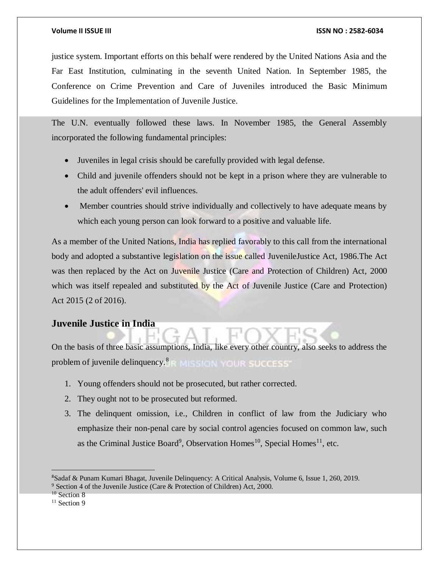justice system. Important efforts on this behalf were rendered by the United Nations Asia and the Far East Institution, culminating in the seventh United Nation. In September 1985, the Conference on Crime Prevention and Care of Juveniles introduced the Basic Minimum Guidelines for the Implementation of Juvenile Justice.

The U.N. eventually followed these laws. In November 1985, the General Assembly incorporated the following fundamental principles:

- Juveniles in legal crisis should be carefully provided with legal defense.
- Child and juvenile offenders should not be kept in a prison where they are vulnerable to the adult offenders' evil influences.
- Member countries should strive individually and collectively to have adequate means by which each young person can look forward to a positive and valuable life.

As a member of the United Nations, India has replied favorably to this call from the international body and adopted a substantive legislation on the issue called JuvenileJustice Act, 1986.The Act was then replaced by the Act on Juvenile Justice (Care and Protection of Children) Act, 2000 which was itself repealed and substituted by the Act of Juvenile Justice (Care and Protection) Act 2015 (2 of 2016).

## **Juvenile Justice in India**

On the basis of three basic assumptions, India, like every other country, also seeks to address the problem of juvenile delinquency. $8 \times 100$  MISSICH SUCCESS

- 1. Young offenders should not be prosecuted, but rather corrected.
- 2. They ought not to be prosecuted but reformed.
- 3. The delinquent omission, i.e., Children in conflict of law from the Judiciary who emphasize their non-penal care by social control agencies focused on common law, such as the Criminal Justice Board<sup>9</sup>, Observation Homes<sup>10</sup>, Special Homes<sup>11</sup>, etc.

 $\overline{a}$ 

<sup>8</sup>Sadaf & Punam Kumari Bhagat, Juvenile Delinquency: A Critical Analysis, Volume 6, Issue 1, 260, 2019.  $9$  Section 4 of the Juvenile Justice (Care & Protection of Children) Act, 2000.

<sup>&</sup>lt;sup>10</sup> Section 8

<sup>&</sup>lt;sup>11</sup> Section 9